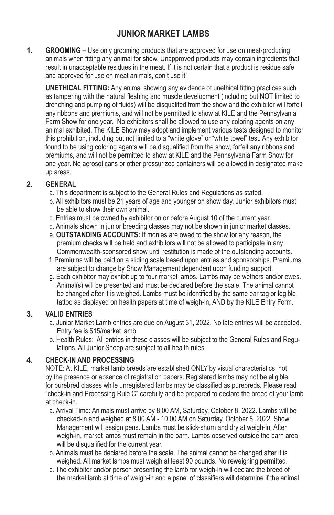# **JUNIOR MARKET LAMBS**

**1. GROOMING** – Use only grooming products that are approved for use on meat-producing animals when fitting any animal for show. Unapproved products may contain ingredients that result in unacceptable residues in the meat. If it is not certain that a product is residue safe and approved for use on meat animals, don't use it!

**UNETHICAL FITTING:** Any animal showing any evidence of unethical fitting practices such as tampering with the natural fleshing and muscle development (including but NOT limited to drenching and pumping of fluids) will be disqualifed from the show and the exhibitor will forfeit any ribbons and premiums, and will not be permitted to show at KILE and the Pennsylvania Farm Show for one year. No exhibitors shall be allowed to use any coloring agents on any animal exhibited. The KILE Show may adopt and implement various tests designed to monitor this prohibition, including but not limited to a "white glove" or "white towel" test. Any exhibitor found to be using coloring agents will be disqualified from the show, forfeit any ribbons and premiums, and will not be permitted to show at KILE and the Pennsylvania Farm Show for one year. No aerosol cans or other pressurized containers will be allowed in designated make up areas.

### **2. GENERAL**

- a. This department is subject to the General Rules and Regulations as stated.
- b. All exhibitors must be 21 years of age and younger on show day. Junior exhibitors must be able to show their own animal.
- c. Entries must be owned by exhibitor on or before August 10 of the current year.
- d. Animals shown in junior breeding classes may not be shown in junior market classes.
- e. **OUTSTANDING ACCOUNTS:** If monies are owed to the show for any reason, the premium checks will be held and exhibitors will not be allowed to participate in any Commonwealth-sponsored show until restitution is made of the outstanding accounts.
- f. Premiums will be paid on a sliding scale based upon entries and sponsorships. Premiums are subject to change by Show Management dependent upon funding support.
- g. Each exhibitor may exhibit up to four market lambs. Lambs may be wethers and/or ewes. Animal(s) will be presented and must be declared before the scale. The animal cannot be changed after it is weighed. Lambs must be identified by the same ear tag or legible tattoo as displayed on health papers at time of weigh-in, AND by the KILE Entry Form.

# **3. VALID ENTRIES**

- a. Junior Market Lamb entries are due on August 31, 2022. No late entries will be accepted. Entry fee is \$15/market lamb.
- b. Health Rules: All entries in these classes will be subject to the General Rules and Regulations. All Junior Sheep are subject to all health rules.

# **4. CHECK-IN AND PROCESSING**

NOTE: At KILE, market lamb breeds are established ONLY by visual characteristics, not by the presence or absence of registration papers. Registered lambs may not be eligible for purebred classes while unregistered lambs may be classified as purebreds. Please read "check-in and Processing Rule C" carefully and be prepared to declare the breed of your lamb at check-in.

- a. Arrival Time: Animals must arrive by 8:00 AM, Saturday, October 8, 2022. Lambs will be checked-in and weighed at 8:00 AM - 10:00 AM on Saturday, October 8, 2022. Show Management will assign pens. Lambs must be slick-shorn and dry at weigh-in. After weigh-in, market lambs must remain in the barn. Lambs observed outside the barn area will be disqualified for the current year.
- b. Animals must be declared before the scale. The animal cannot be changed after it is weighed. All market lambs must weigh at least 90 pounds. No reweighing permitted.
- c. The exhibitor and/or person presenting the lamb for weigh-in will declare the breed of the market lamb at time of weigh-in and a panel of classifiers will determine if the animal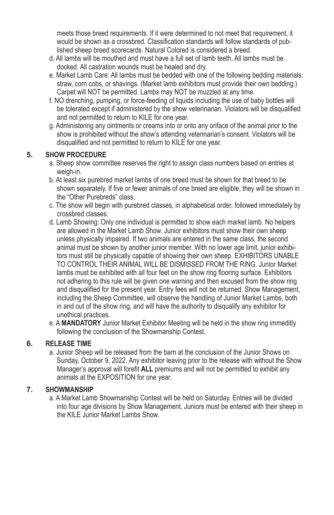meets those breed requirements. If it were determined to not meet that requirement, it would be shown as a crossbred. Classification standards will follow standards of published sheep breed scorecards. Natural Colored is considered a breed.

- d. All lambs will be mouthed and must have a full set of lamb teeth. All lambs must be docked. All castration wounds must be healed and dry.
- e. Market Lamb Care: All lambs must be bedded with one of the following bedding materials: straw, corn cobs, or shavings. (Market lamb exhibitors must provide their own bedding.) Carpet will NOT be permitted. Lambs may NOT be muzzled at any time.
- f. NO drenching, pumping, or force-feeding of liquids including the use of baby bottles will be tolerated except if administered by the show veterinarian. Violators will be disqualified and not permitted to return to KILE for one year.
- g. Administering any ointments or creams into or onto any oriface of the animal prior to the show is prohibited without the show's attending veterinarian's consent. Violators will be disqualified and not permitted to return to KILE for one year.

# **5. SHOW PROCEDURE**

- a. Sheep show committee reserves the right to assign class numbers based on entries at weigh-in.
- b. At least six purebred market lambs of one breed must be shown for that breed to be shown separately. If five or fewer animals of one breed are eligible, they will be shown in the "Other Purebreds" class.
- c. The show will begin with purebred classes, in alphabetical order, followed immediately by crossbred classes.
- d. Lamb Showing: Only one individual is permitted to show each market lamb. No helpers are allowed in the Market Lamb Show. Junior exhibitors must show their own sheep unless physically impaired. If two animals are entered in the same class, the second animal must be shown by another junior member. With no lower age limit, junior exhibitors must still be physically capable of showing their own sheep. EXHIBITORS UNABLE TO CONTROL THEIR ANIMAL WILL BE DISMISSED FROM THE RING. Junior Market lambs must be exhibited with all four feet on the show ring flooring surface. Exhibitors not adhering to this rule will be given one warning and then excused from the show ring and disqualified for the present year. Entry fees will not be returned. Show Management, including the Sheep Committee, will observe the handling of Junior Market Lambs, both in and out of the show ring, and will have the authority to disqualify any exhibitor for unethical practices.
- e. A **MANDATORY** Junior Market Exhibitor Meeting will be held in the show ring immeditly following the conclusion of the Showmanship Contest.

# **6. RELEASE TIME**

a. Junior Sheep will be released from the barn at the conclusion of the Junior Shows on Sunday, October 9, 2022. Any exhibitor leaving prior to the release with without the Show Manager's approval will forefit **ALL** premiums and will not be permitted to exhibit any animals at the EXPOSITION for one year.

# **7. SHOWMANSHIP**

a. A Market Lamb Showmanship Contest will be held on Saturday. Entries will be divided into four age divisions by Show Management. Juniors must be entered with their sheep in the KILE Junior Market Lambs Show.